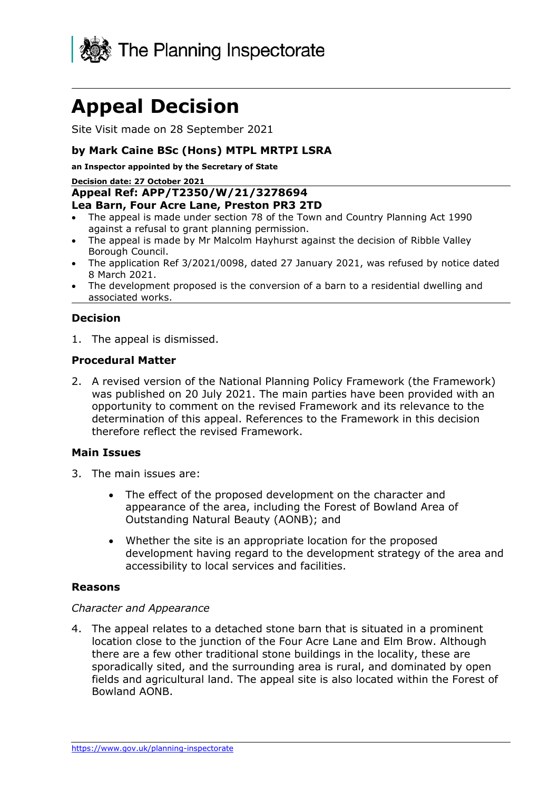

# **Appeal Decision**

Site Visit made on 28 September 2021

## **by Mark Caine BSc (Hons) MTPL MRTPI LSRA**

**an Inspector appointed by the Secretary of State** 

**Decision date: 27 October 2021**

#### **Appeal Ref: APP/T2350/W/21/3278694 Lea Barn, Four Acre Lane, Preston PR3 2TD**

- The appeal is made under section 78 of the Town and Country Planning Act 1990 against a refusal to grant planning permission.
- The appeal is made by Mr Malcolm Hayhurst against the decision of Ribble Valley Borough Council.
- The application Ref 3/2021/0098, dated 27 January 2021, was refused by notice dated 8 March 2021.
- The development proposed is the conversion of a barn to a residential dwelling and associated works.

## **Decision**

1. The appeal is dismissed.

#### **Procedural Matter**

2. A revised version of the National Planning Policy Framework (the Framework) was published on 20 July 2021. The main parties have been provided with an opportunity to comment on the revised Framework and its relevance to the determination of this appeal. References to the Framework in this decision therefore reflect the revised Framework.

#### **Main Issues**

- 3. The main issues are:
	- The effect of the proposed development on the character and appearance of the area, including the Forest of Bowland Area of Outstanding Natural Beauty (AONB); and
	- Whether the site is an appropriate location for the proposed development having regard to the development strategy of the area and accessibility to local services and facilities.

#### **Reasons**

#### *Character and Appearance*

4. The appeal relates to a detached stone barn that is situated in a prominent location close to the junction of the Four Acre Lane and Elm Brow. Although there are a few other traditional stone buildings in the locality, these are sporadically sited, and the surrounding area is rural, and dominated by open fields and agricultural land. The appeal site is also located within the Forest of Bowland AONB.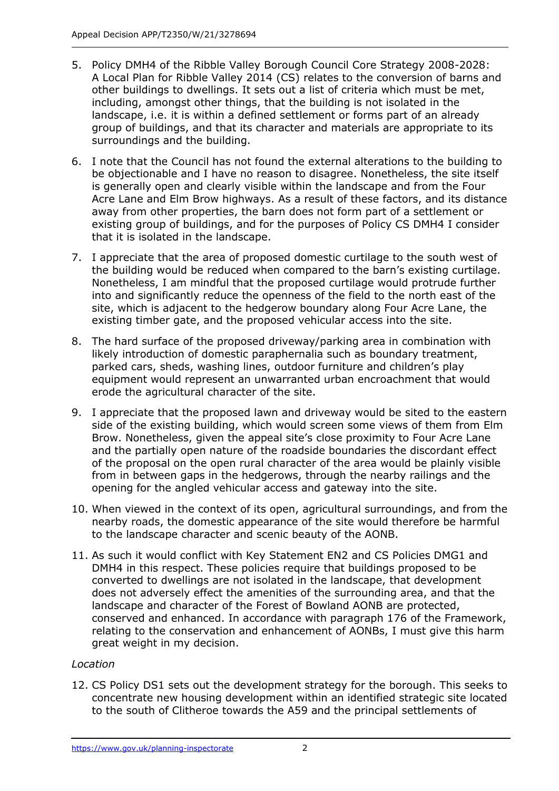- 5. Policy DMH4 of the Ribble Valley Borough Council Core Strategy 2008-2028: A Local Plan for Ribble Valley 2014 (CS) relates to the conversion of barns and other buildings to dwellings. It sets out a list of criteria which must be met, including, amongst other things, that the building is not isolated in the landscape, i.e. it is within a defined settlement or forms part of an already group of buildings, and that its character and materials are appropriate to its surroundings and the building.
- 6. I note that the Council has not found the external alterations to the building to be objectionable and I have no reason to disagree. Nonetheless, the site itself is generally open and clearly visible within the landscape and from the Four Acre Lane and Elm Brow highways. As a result of these factors, and its distance away from other properties, the barn does not form part of a settlement or existing group of buildings, and for the purposes of Policy CS DMH4 I consider that it is isolated in the landscape.
- 7. I appreciate that the area of proposed domestic curtilage to the south west of the building would be reduced when compared to the barn's existing curtilage. Nonetheless, I am mindful that the proposed curtilage would protrude further into and significantly reduce the openness of the field to the north east of the site, which is adjacent to the hedgerow boundary along Four Acre Lane, the existing timber gate, and the proposed vehicular access into the site.
- 8. The hard surface of the proposed driveway/parking area in combination with likely introduction of domestic paraphernalia such as boundary treatment, parked cars, sheds, washing lines, outdoor furniture and children's play equipment would represent an unwarranted urban encroachment that would erode the agricultural character of the site.
- 9. I appreciate that the proposed lawn and driveway would be sited to the eastern side of the existing building, which would screen some views of them from Elm Brow. Nonetheless, given the appeal site's close proximity to Four Acre Lane and the partially open nature of the roadside boundaries the discordant effect of the proposal on the open rural character of the area would be plainly visible from in between gaps in the hedgerows, through the nearby railings and the opening for the angled vehicular access and gateway into the site.
- 10. When viewed in the context of its open, agricultural surroundings, and from the nearby roads, the domestic appearance of the site would therefore be harmful to the landscape character and scenic beauty of the AONB.
- 11. As such it would conflict with Key Statement EN2 and CS Policies DMG1 and DMH4 in this respect. These policies require that buildings proposed to be converted to dwellings are not isolated in the landscape, that development does not adversely effect the amenities of the surrounding area, and that the landscape and character of the Forest of Bowland AONB are protected, conserved and enhanced. In accordance with paragraph 176 of the Framework, relating to the conservation and enhancement of AONBs, I must give this harm great weight in my decision.

## *Location*

12. CS Policy DS1 sets out the development strategy for the borough. This seeks to concentrate new housing development within an identified strategic site located to the south of Clitheroe towards the A59 and the principal settlements of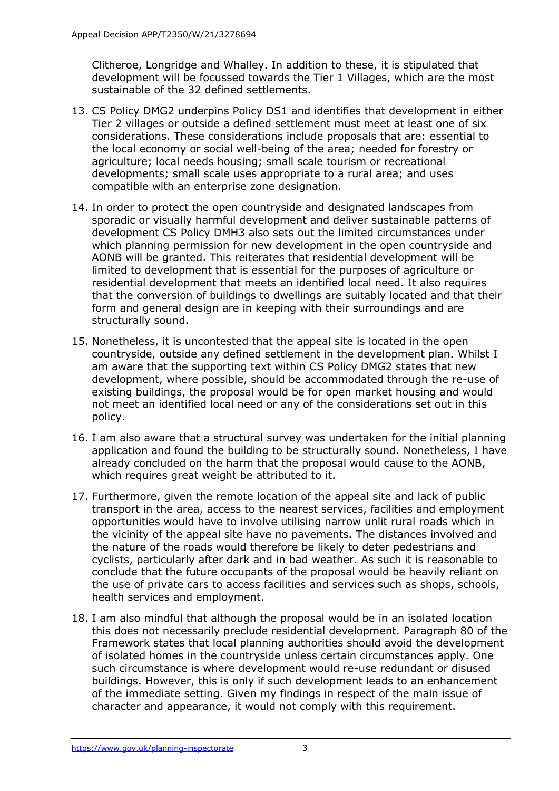Clitheroe, Longridge and Whalley. In addition to these, it is stipulated that development will be focussed towards the Tier 1 Villages, which are the most sustainable of the 32 defined settlements.

- 13. CS Policy DMG2 underpins Policy DS1 and identifies that development in either Tier 2 villages or outside a defined settlement must meet at least one of six considerations. These considerations include proposals that are: essential to the local economy or social well-being of the area; needed for forestry or agriculture; local needs housing; small scale tourism or recreational developments; small scale uses appropriate to a rural area; and uses compatible with an enterprise zone designation.
- 14. In order to protect the open countryside and designated landscapes from sporadic or visually harmful development and deliver sustainable patterns of development CS Policy DMH3 also sets out the limited circumstances under which planning permission for new development in the open countryside and AONB will be granted. This reiterates that residential development will be limited to development that is essential for the purposes of agriculture or residential development that meets an identified local need. It also requires that the conversion of buildings to dwellings are suitably located and that their form and general design are in keeping with their surroundings and are structurally sound.
- 15. Nonetheless, it is uncontested that the appeal site is located in the open countryside, outside any defined settlement in the development plan. Whilst I am aware that the supporting text within CS Policy DMG2 states that new development, where possible, should be accommodated through the re-use of existing buildings, the proposal would be for open market housing and would not meet an identified local need or any of the considerations set out in this policy.
- 16. I am also aware that a structural survey was undertaken for the initial planning application and found the building to be structurally sound. Nonetheless, I have already concluded on the harm that the proposal would cause to the AONB, which requires great weight be attributed to it.
- 17. Furthermore, given the remote location of the appeal site and lack of public transport in the area, access to the nearest services, facilities and employment opportunities would have to involve utilising narrow unlit rural roads which in the vicinity of the appeal site have no pavements. The distances involved and the nature of the roads would therefore be likely to deter pedestrians and cyclists, particularly after dark and in bad weather. As such it is reasonable to conclude that the future occupants of the proposal would be heavily reliant on the use of private cars to access facilities and services such as shops, schools, health services and employment.
- 18. I am also mindful that although the proposal would be in an isolated location this does not necessarily preclude residential development. Paragraph 80 of the Framework states that local planning authorities should avoid the development of isolated homes in the countryside unless certain circumstances apply. One such circumstance is where development would re-use redundant or disused buildings. However, this is only if such development leads to an enhancement of the immediate setting. Given my findings in respect of the main issue of character and appearance, it would not comply with this requirement.